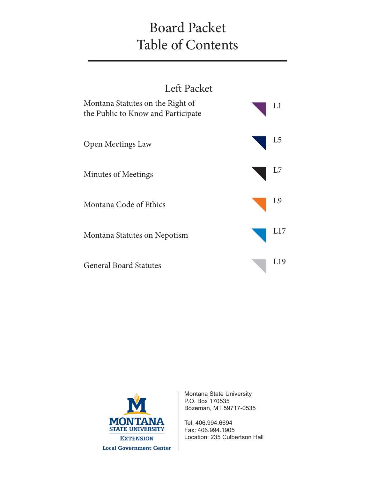# Board Packet Table of Contents





Montana State University P.O. Box 170535 Bozeman, MT 59717-0535

Tel: 406.994.6694 Fax: 406.994.1905 Location: 235 Culbertson Hall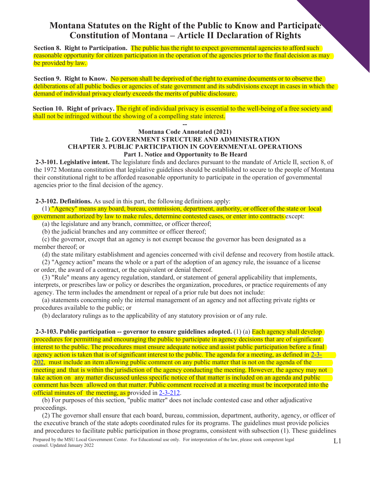# **Montana Statutes on the Right of the Public to Know and Participate Constitution of Montana – Article II Declaration of Rights**

**Section 8. Right to Participation.** The public has the right to expect governmental agencies to afford such reasonable opportunity for citizen participation in the operation of the agencies prior to the final decision as may be provided by law.

**Section 9. Right to Know.** No person shall be deprived of the right to examine documents or to observe the deliberations of all public bodies or agencies of state government and its subdivisions except in cases in which the demand of individual privacy clearly exceeds the merits of public disclosure.

**Section 10. Right of privacy.** The right of individual privacy is essential to the well-being of a free society and shall not be infringed without the showing of a compelling state interest.

#### **-- Montana Code Annotated (2021) Title 2. GOVERNMENT STRUCTURE AND ADMINISTRATION CHAPTER 3. PUBLIC PARTICIPATION IN GOVERNMENTAL OPERATIONS Part 1. Notice and Opportunity to Be Heard**

**2-3-101. Legislative intent.** The legislature finds and declares pursuant to the mandate of Article II, section 8, of the 1972 Montana constitution that legislative guidelines should be established to secure to the people of Montana their constitutional right to be afforded reasonable opportunity to participate in the operation of governmental agencies prior to the final decision of the agency.

**2-3-102. Definitions.** As used in this part, the following definitions apply:

(1) "Agency" means any board, bureau, commission, department, authority, or officer of the state or local government authorized by law to make rules, determine contested cases, or enter into contracts except:

(a) the legislature and any branch, committee, or officer thereof;

(b) the judicial branches and any committee or officer thereof;

(c) the governor, except that an agency is not exempt because the governor has been designated as a member thereof; or

(d) the state military establishment and agencies concerned with civil defense and recovery from hostile attack.

(2) "Agency action" means the whole or a part of the adoption of an agency rule, the issuance of a license or order, the award of a contract, or the equivalent or denial thereof.

(3) "Rule" means any agency regulation, standard, or statement of general applicability that implements, interprets, or prescribes law or policy or describes the organization, procedures, or practice requirements of any agency. The term includes the amendment or repeal of a prior rule but does not include:

(a) statements concerning only the internal management of an agency and not affecting private rights or procedures available to the public; or

(b) declaratory rulings as to the applicability of any statutory provision or of any rule.

**2-3-103. Public participation -- governor to ensure guidelines adopted.** (1) (a) Each agency shall develop procedures for permitting and encouraging the public to participate in agency decisions that are of significant interest to the public. The procedures must ensure adequate notice and assist public participation before a final agency action is taken that is of significant interest to the public. The agenda for a meeting, as defined in 2-3- 202, must include an item allowing public comment on any public matter that is not on the agenda of the meeting and that is within the jurisdiction of the agency conducting the meeting. However, the agency may not take action on any matter discussed unless specific notice of that matter is included on an agenda and public comment has been allowed on that matter. Public comment received at a meeting must be incorporated into the official minutes of the meeting, as provided in 2-3-212.

(b) For purposes of this section, "public matter" does not include contested case and other adjudicative proceedings.

Prepared by the MSU Local Government Center. For Educational use only. For interpretation of the law, please seek competent legal counsel. Updated January 2022 L1 (2) The governor shall ensure that each board, bureau, commission, department, authority, agency, or officer of the executive branch of the state adopts coordinated rules for its programs. The guidelines must provide policies and procedures to facilitate public participation in those programs, consistent with subsection (1). These guidelines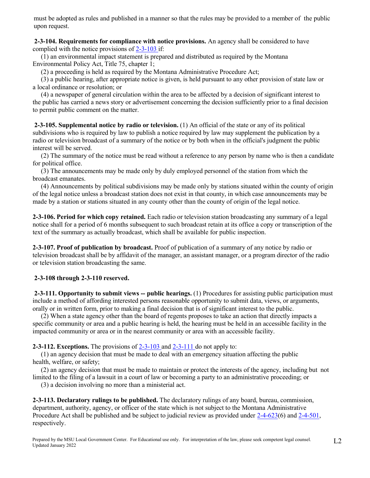must be adopted as rules and published in a manner so that the rules may be provided to a member of the public upon request.

**2-3-104. Requirements for compliance with notice provisions.** An agency shall be considered to have complied with the notice provisions of  $2-3-103$  if:

(1) an environmental impact statement is prepared and distributed as required by the Montana Environmental Policy Act, Title 75, chapter 1;

(2) a proceeding is held as required by the Montana Administrative Procedure Act;

(3) a public hearing, after appropriate notice is given, is held pursuant to any other provision of state law or a local ordinance or resolution; or

(4) a newspaper of general circulation within the area to be affected by a decision of significant interest to the public has carried a news story or advertisement concerning the decision sufficiently prior to a final decision to permit public comment on the matter.

**2-3-105. Supplemental notice by radio or television.** (1) An official of the state or any of its political subdivisions who is required by law to publish a notice required by law may supplement the publication by a radio or television broadcast of a summary of the notice or by both when in the official's judgment the public interest will be served.

(2) The summary of the notice must be read without a reference to any person by name who is then a candidate for political office.

(3) The announcements may be made only by duly employed personnel of the station from which the broadcast emanates.

(4) Announcements by political subdivisions may be made only by stations situated within the county of origin of the legal notice unless a broadcast station does not exist in that county, in which case announcements may be made by a station or stations situated in any county other than the county of origin of the legal notice.

**2-3-106. Period for which copy retained.** Each radio or television station broadcasting any summary of a legal notice shall for a period of 6 months subsequent to such broadcast retain at its office a copy or transcription of the text of the summary as actually broadcast, which shall be available for public inspection.

**2-3-107. Proof of publication by broadcast.** Proof of publication of a summary of any notice by radio or television broadcast shall be by affidavit of the manager, an assistant manager, or a program director of the radio or television station broadcasting the same.

# **2-3-108 through 2-3-110 reserved.**

**2-3-111. Opportunity to submit views -- public hearings.** (1) Procedures for assisting public participation must include a method of affording interested persons reasonable opportunity to submit data, views, or arguments, orally or in written form, prior to making a final decision that is of significant interest to the public.

(2) When a state agency other than the board of regents proposes to take an action that directly impacts a specific community or area and a public hearing is held, the hearing must be held in an accessible facility in the impacted community or area or in the nearest community or area with an accessible facility.

**2-3-112. Exceptions.** The provisions of 2-3-103 and 2-3-111 do not apply to:

(1) an agency decision that must be made to deal with an emergency situation affecting the public health, welfare, or safety;

(2) an agency decision that must be made to maintain or protect the interests of the agency, including but not limited to the filing of a lawsuit in a court of law or becoming a party to an administrative proceeding; or

(3) a decision involving no more than a ministerial act.

**2-3-113. Declaratory rulings to be published.** The declaratory rulings of any board, bureau, commission, department, authority, agency, or officer of the state which is not subject to the Montana Administrative Procedure Act shall be published and be subject to judicial review as provided under 2-4-623(6) and 2-4-501, respectively.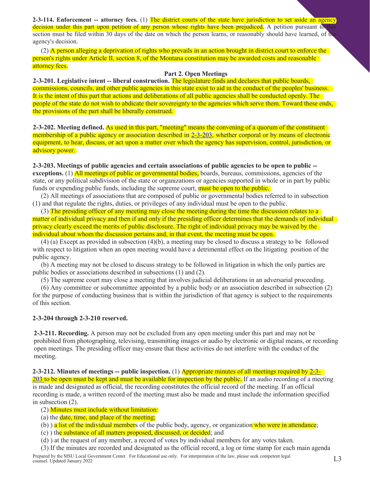**2-3-114. Enforcement -- attorney fees.** (1) The district courts of the state have jurisdiction to set aside an agency decision under this part upon petition of any person whose rights have been prejudiced. A petition pursuant to this section must be filed within 30 days of the date on which the person learns, or reasonably should have learned, of the agency's decision.

(2) A person alleging a deprivation of rights who prevails in an action brought in district court to enforce the person's rights under Article II, section 8, of the Montana constitution may be awarded costs and reasonable attorney fees.

#### **Part 2. Open Meetings**

**2-3-201. Legislative intent -- liberal construction.** The legislature finds and declares that public boards, commissions, councils, and other public agencies in this state exist to aid in the conduct of the peoples' business. It is the intent of this part that actions and deliberations of all public agencies shall be conducted openly. The people of the state do not wish to abdicate their sovereignty to the agencies which serve them. Toward these ends, the provisions of the part shall be liberally construed.

**2-3-202. Meeting defined.** As used in this part, "meeting" means the convening of a quorum of the constituent membership of a public agency or association described in 2-3-203, whether corporal or by means of electronic equipment, to hear, discuss, or act upon a matter over which the agency has supervision, control, jurisdiction, or advisory power.

**2-3-203. Meetings of public agencies and certain associations of public agencies to be open to public - exceptions.** (1) All meetings of public or governmental bodies, boards, bureaus, commissions, agencies of the state, or any political subdivision of the state or organizations or agencies supported in whole or in part by public funds or expending public funds, including the supreme court, must be open to the public.

(2) All meetings of associations that are composed of public or governmental bodies referred to in subsection (1) and that regulate the rights, duties, or privileges of any individual must be open to the public.

(3) The presiding officer of any meeting may close the meeting during the time the discussion relates to a matter of individual privacy and then if and only if the presiding officer determines that the demands of individual privacy clearly exceed the merits of public disclosure. The right of individual privacy may be waived by the individual about whom the discussion pertains and, in that event, the meeting must be open.

(4) (a) Except as provided in subsection (4)(b), a meeting may be closed to discuss a strategy to be followed with respect to litigation when an open meeting would have a detrimental effect on the litigating position of the public agency.

(b) A meeting may not be closed to discuss strategy to be followed in litigation in which the only parties are public bodies or associations described in subsections (1) and (2).

(5) The supreme court may close a meeting that involves judicial deliberations in an adversarial proceeding.

(6) Any committee or subcommittee appointed by a public body or an association described in subsection (2) for the purpose of conducting business that is within the jurisdiction of that agency is subject to the requirements of this section.

#### **2-3-204 through 2-3-210 reserved.**

**2-3-211. Recording.** A person may not be excluded from any open meeting under this part and may not be prohibited from photographing, televising, transmitting images or audio by electronic or digital means, or recording open meetings. The presiding officer may ensure that these activities do not interfere with the conduct of the meeting.

**2-3-212. Minutes of meetings -- public inspection.** (1) Appropriate minutes of all meetings required by 2-3- 203 to be open must be kept and must be available for inspection by the public. If an audio recording of a meeting is made and designated as official, the recording constitutes the official record of the meeting. If an official recording is made, a written record of the meeting must also be made and must include the information specified in subsection (2).

- (2) Minutes must include without limitation:
- (a) the date, time, and place of the meeting;
- (b) ) a list of the individual members of the public body, agency, or organization who were in attendance;
- (c) ) the substance of all matters proposed, discussed, or decided; and
- (d) ) at the request of any member, a record of votes by individual members for any votes taken.

(3) If the minutes are recorded and designated as the official record, a log or time stamp for each main agenda

Prepared by the MSU Local Government Center. For Educational use only. For interpretation of the law, please seek competent legal  $1.3$ counsel. Updated January 2022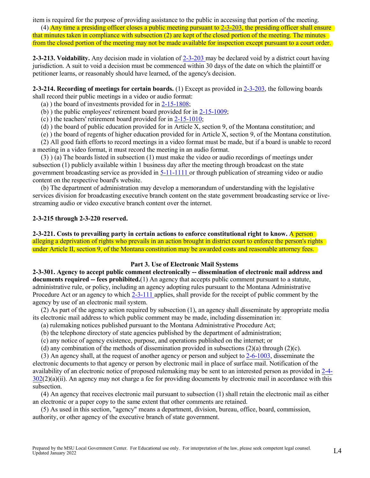item is required for the purpose of providing assistance to the public in accessing that portion of the meeting.

(4) Any time a presiding officer closes a public meeting pursuant to  $2-3-203$ , the presiding officer shall ensure that minutes taken in compliance with subsection (2) are kept of the closed portion of the meeting. The minutes from the closed portion of the meeting may not be made available for inspection except pursuant to a court order.

**2-3-213. Voidability.** Any decision made in violation of 2-3-203 may be declared void by a district court having jurisdiction. A suit to void a decision must be commenced within 30 days of the date on which the plaintiff or petitioner learns, or reasonably should have learned, of the agency's decision.

**2-3-214. Recording of meetings for certain boards.** (1) Except as provided in 2-3-203, the following boards shall record their public meetings in a video or audio format:

(a) ) the board of investments provided for in 2-15-1808;

(b) ) the public employees' retirement board provided for in 2-15-1009;

(c) ) the teachers' retirement board provided for in 2-15-1010;

(d) ) the board of public education provided for in Article X, section 9, of the Montana constitution; and

(e) ) the board of regents of higher education provided for in Article X, section 9, of the Montana constitution.

(2) All good faith efforts to record meetings in a video format must be made, but if a board is unable to record a meeting in a video format, it must record the meeting in an audio format.

(3) ) (a) The boards listed in subsection (1) must make the video or audio recordings of meetings under subsection (1) publicly available within 1 business day after the meeting through broadcast on the state government broadcasting service as provided in 5-11-1111 or through publication of streaming video or audio content on the respective board's website.

(b) The department of administration may develop a memorandum of understanding with the legislative services division for broadcasting executive branch content on the state government broadcasting service or livestreaming audio or video executive branch content over the internet.

#### **2-3-215 through 2-3-220 reserved.**

**2-3-221.** Costs to prevailing party in certain actions to enforce constitutional right to know. A person alleging a deprivation of rights who prevails in an action brought in district court to enforce the person's rights under Article II, section 9, of the Montana constitution may be awarded costs and reasonable attorney fees.

#### **Part 3. Use of Electronic Mail Systems**

**2-3-301. Agency to accept public comment electronically -- dissemination of electronic mail address and documents required -- fees prohibited.**(1) An agency that accepts public comment pursuant to a statute, administrative rule, or policy, including an agency adopting rules pursuant to the Montana Administrative Procedure Act or an agency to which 2-3-111 applies, shall provide for the receipt of public comment by the agency by use of an electronic mail system.

(2) As part of the agency action required by subsection (1), an agency shall disseminate by appropriate media its electronic mail address to which public comment may be made, including dissemination in:

(a) rulemaking notices published pursuant to the Montana Administrative Procedure Act;

- (b) the telephone directory of state agencies published by the department of administration;
- (c) any notice of agency existence, purpose, and operations published on the internet; or

(d) any combination of the methods of dissemination provided in subsections (2)(a) through (2)(c).

(3) An agency shall, at the request of another agency or person and subject to 2-6-1003, disseminate the electronic documents to that agency or person by electronic mail in place of surface mail. Notification of the availability of an electronic notice of proposed rulemaking may be sent to an interested person as provided in 2-4- 302(2)(a)(ii). An agency may not charge a fee for providing documents by electronic mail in accordance with this subsection.

(4) An agency that receives electronic mail pursuant to subsection (1) shall retain the electronic mail as either an electronic or a paper copy to the same extent that other comments are retained.

(5) As used in this section, "agency" means a department, division, bureau, office, board, commission, authority, or other agency of the executive branch of state government.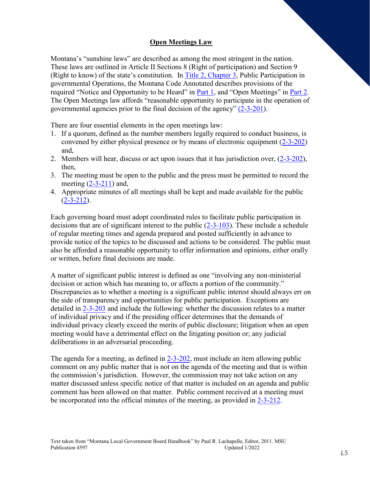# **Open Meetings Law**

Montana's "sunshine laws" are described as among the most stringent in the nation. These laws are outlined in Article II Sections 8 (Right of participation) and Section 9 (Right to know) of the state's constitution. In Title 2, Chapter 3, Public Participation in governmental Operations, the Montana Code Annotated describes provisions of the required "Notice and Opportunity to be Heard" in **Part 1**, and "Open Meetings" in <u>Part 2</u>. The Open Meetings law affords "reasonable opportunity to participate in the operation of governmental agencies prior to the final decision of the agency" (2-3-201).

There are four essential elements in the open meetings law:

- 1. If a quorum, defined as the number members legally required to conduct business, is convened by either physical presence or by means of electronic equipment (2-3-202) and,
- 2. Members will hear, discuss or act upon issues that it has jurisdiction over, (2-3-202), then,
- 3. The meeting must be open to the public and the press must be permitted to record the meeting (2-3-211) and,
- 4. Appropriate minutes of all meetings shall be kept and made available for the public  $(2-3-212)$ .

Each governing board must adopt coordinated rules to facilitate public participation in decisions that are of significant interest to the public (2-3-103). These include a schedule of regular meeting times and agenda prepared and posted sufficiently in advance to provide notice of the topics to be discussed and actions to be considered. The public must also be afforded a reasonable opportunity to offer information and opinions, either orally or written, before final decisions are made.

A matter of significant public interest is defined as one "involving any non-ministerial decision or action which has meaning to, or affects a portion of the community." Discrepancies as to whether a meeting is a significant public interest should always err on the side of transparency and opportunities for public participation. Exceptions are detailed in 2-3-203 and include the following: whether the discussion relates to a matter of individual privacy and if the presiding officer determines that the demands of individual privacy clearly exceed the merits of public disclosure; litigation when an open meeting would have a detrimental effect on the litigating position or; any judicial deliberations in an adversarial proceeding.

The agenda for a meeting, as defined in 2-3-202, must include an item allowing public comment on any public matter that is not on the agenda of the meeting and that is within the commission's jurisdiction. However, the commission may not take action on any matter discussed unless specific notice of that matter is included on an agenda and public comment has been allowed on that matter. Public comment received at a meeting must be incorporated into the official minutes of the meeting, as provided in 2-3-212.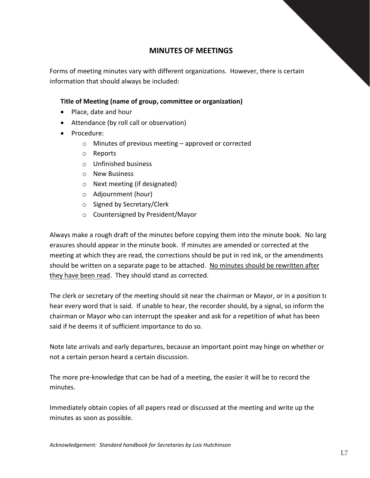# **MINUTES OF MEETINGS**

Forms of meeting minutes vary with different organizations. However, there is certain information that should always be included:

# **Title of Meeting (name of group, committee or organization)**

- Place, date and hour
- Attendance (by roll call or observation)
- Procedure:
	- o Minutes of previous meeting approved or corrected
	- o Reports
	- o Unfinished business
	- o New Business
	- o Next meeting (if designated)
	- o Adjournment (hour)
	- o Signed by Secretary/Clerk
	- o Countersigned by President/Mayor

Always make a rough draft of the minutes before copying them into the minute book. No large erasures should appear in the minute book. If minutes are amended or corrected at the meeting at which they are read, the corrections should be put in red ink, or the amendments should be written on a separate page to be attached. No minutes should be rewritten after they have been read. They should stand as corrected.

The clerk or secretary of the meeting should sit near the chairman or Mayor, or in a position to hear every word that is said. If unable to hear, the recorder should, by a signal, so inform the chairman or Mayor who can interrupt the speaker and ask for a repetition of what has been said if he deems it of sufficient importance to do so.

Note late arrivals and early departures, because an important point may hinge on whether or not a certain person heard a certain discussion.

The more pre-knowledge that can be had of a meeting, the easier it will be to record the minutes.

Immediately obtain copies of all papers read or discussed at the meeting and write up the minutes as soon as possible.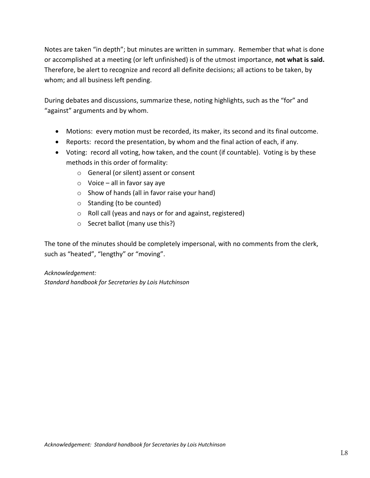Notes are taken "in depth"; but minutes are written in summary. Remember that what is done or accomplished at a meeting (or left unfinished) is of the utmost importance, **not what is said.**  Therefore, be alert to recognize and record all definite decisions; all actions to be taken, by whom; and all business left pending.

During debates and discussions, summarize these, noting highlights, such as the "for" and "against" arguments and by whom.

- Motions: every motion must be recorded, its maker, its second and its final outcome.
- Reports: record the presentation, by whom and the final action of each, if any.
- Voting: record all voting, how taken, and the count (if countable). Voting is by these methods in this order of formality:
	- o General (or silent) assent or consent
	- $\circ$  Voice all in favor say aye
	- o Show of hands (all in favor raise your hand)
	- o Standing (to be counted)
	- o Roll call (yeas and nays or for and against, registered)
	- o Secret ballot (many use this?)

The tone of the minutes should be completely impersonal, with no comments from the clerk, such as "heated", "lengthy" or "moving".

# *Acknowledgement:*

*Standard handbook for Secretaries by Lois Hutchinson*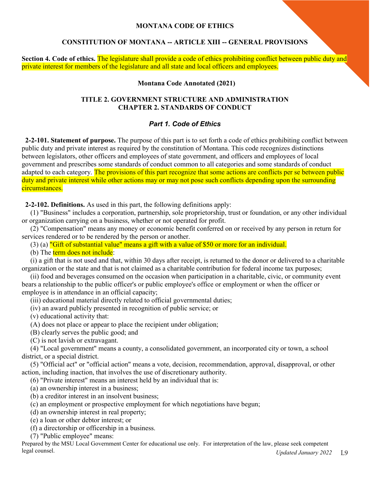## **MONTANA CODE OF ETHICS**

# **CONSTITUTION OF MONTANA -- ARTICLE XIII -- GENERAL PROVISIONS**

**Section 4. Code of ethics.** The legislature shall provide a code of ethics prohibiting conflict between public duty and private interest for members of the legislature and all state and local officers and employees.

#### **Montana Code Annotated (2021)**

# **TITLE 2. GOVERNMENT STRUCTURE AND ADMINISTRATION CHAPTER 2. STANDARDS OF CONDUCT**

# *Part 1. Code of Ethics*

**2-2-101. Statement of purpose.** The purpose of this part is to set forth a code of ethics prohibiting conflict between public duty and private interest as required by the constitution of Montana. This code recognizes distinctions between legislators, other officers and employees of state government, and officers and employees of local government and prescribes some standards of conduct common to all categories and some standards of conduct adapted to each category. The provisions of this part recognize that some actions are conflicts per se between public duty and private interest while other actions may or may not pose such conflicts depending upon the surrounding circumstances.

**2-2-102. Definitions.** As used in this part, the following definitions apply:

(1) "Business" includes a corporation, partnership, sole proprietorship, trust or foundation, or any other individual or organization carrying on a business, whether or not operated for profit.

(2) "Compensation" means any money or economic benefit conferred on or received by any person in return for services rendered or to be rendered by the person or another.

(3) (a) "Gift of substantial value" means a gift with a value of \$50 or more for an individual.

(b) The term does not include:

(i) a gift that is not used and that, within 30 days after receipt, is returned to the donor or delivered to a charitable organization or the state and that is not claimed as a charitable contribution for federal income tax purposes;

(ii) food and beverages consumed on the occasion when participation in a charitable, civic, or community event bears a relationship to the public officer's or public employee's office or employment or when the officer or employee is in attendance in an official capacity;

(iii) educational material directly related to official governmental duties;

(iv) an award publicly presented in recognition of public service; or

(v) educational activity that:

(A) does not place or appear to place the recipient under obligation;

(B) clearly serves the public good; and

(C) is not lavish or extravagant.

(4) "Local government" means a county, a consolidated government, an incorporated city or town, a school district, or a special district.

(5) "Official act" or "official action" means a vote, decision, recommendation, approval, disapproval, or other action, including inaction, that involves the use of discretionary authority.

(6) "Private interest" means an interest held by an individual that is:

(a) an ownership interest in a business;

- (b) a creditor interest in an insolvent business;
- (c) an employment or prospective employment for which negotiations have begun;

(d) an ownership interest in real property;

(e) a loan or other debtor interest; or

(f) a directorship or officership in a business.

(7) "Public employee" means:

L9 Prepared by the MSU Local Government Center for educational use only. For interpretation of the law, please seek competent legal counsel. *Updated January 2022*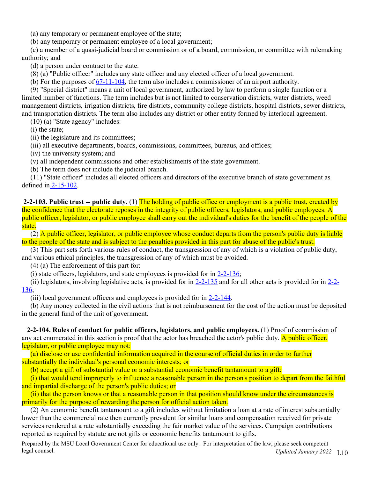(a) any temporary or permanent employee of the state;

(b) any temporary or permanent employee of a local government;

(c) a member of a quasi-judicial board or commission or of a board, commission, or committee with rulemaking authority; and

(d) a person under contract to the state.

(8) (a) "Public officer" includes any state officer and any elected officer of a local government.

(b) For the purposes of 67-11-104, the term also includes a commissioner of an airport authority.

(9) "Special district" means a unit of local government, authorized by law to perform a single function or a limited number of functions. The term includes but is not limited to conservation districts, water districts, weed management districts, irrigation districts, fire districts, community college districts, hospital districts, sewer districts, and transportation districts. The term also includes any district or other entity formed by interlocal agreement.

(10) (a) "State agency" includes:

(i) the state;

(ii) the legislature and its committees;

(iii) all executive departments, boards, commissions, committees, bureaus, and offices;

(iv) the university system; and

(v) all independent commissions and other establishments of the state government.

(b) The term does not include the judicial branch.

(11) "State officer" includes all elected officers and directors of the executive branch of state government as defined in 2-15-102.

**2-2-103. Public trust -- public duty.** (1) The holding of public office or employment is a public trust, created by the confidence that the electorate reposes in the integrity of public officers, legislators, and public employees. A public officer, legislator, or public employee shall carry out the individual's duties for the benefit of the people of the state.

(2) A public officer, legislator, or public employee whose conduct departs from the person's public duty is liable to the people of the state and is subject to the penalties provided in this part for abuse of the public's trust.

(3) This part sets forth various rules of conduct, the transgression of any of which is a violation of public duty, and various ethical principles, the transgression of any of which must be avoided.

(4) (a) The enforcement of this part for:

(i) state officers, legislators, and state employees is provided for in  $2-2-136$ ;

(ii) legislators, involving legislative acts, is provided for in  $2-2-135$  and for all other acts is provided for in  $2-2-$ 136;

(iii) local government officers and employees is provided for in 2-2-144.

(b) Any money collected in the civil actions that is not reimbursement for the cost of the action must be deposited in the general fund of the unit of government.

**2-2-104. Rules of conduct for public officers, legislators, and public employees.** (1) Proof of commission of any act enumerated in this section is proof that the actor has breached the actor's public duty. A public officer, legislator, or public employee may not:

(a) disclose or use confidential information acquired in the course of official duties in order to further substantially the individual's personal economic interests; or

(b) accept a gift of substantial value or a substantial economic benefit tantamount to a gift:

(i) that would tend improperly to influence a reasonable person in the person's position to depart from the faithful and impartial discharge of the person's public duties; or

(ii) that the person knows or that a reasonable person in that position should know under the circumstances is primarily for the purpose of rewarding the person for official action taken.

(2) An economic benefit tantamount to a gift includes without limitation a loan at a rate of interest substantially lower than the commercial rate then currently prevalent for similar loans and compensation received for private services rendered at a rate substantially exceeding the fair market value of the services. Campaign contributions reported as required by statute are not gifts or economic benefits tantamount to gifts.

legal counsel. **In the Updated January 2022** L10 Prepared by the MSU Local Government Center for educational use only. For interpretation of the law, please seek competent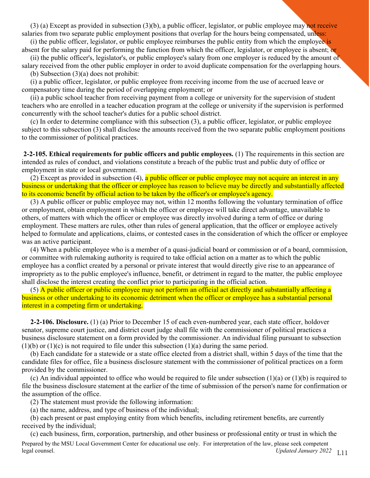(3) (a) Except as provided in subsection (3)(b), a public officer, legislator, or public employee may not receive salaries from two separate public employment positions that overlap for the hours being compensated, unless:

(i) the public officer, legislator, or public employee reimburses the public entity from which the employee is absent for the salary paid for performing the function from which the officer, legislator, or employee is absent; or

(ii) the public officer's, legislator's, or public employee's salary from one employer is reduced by the amount of salary received from the other public employer in order to avoid duplicate compensation for the overlapping hours.

(b) Subsection (3)(a) does not prohibit:

(i) a public officer, legislator, or public employee from receiving income from the use of accrued leave or compensatory time during the period of overlapping employment; or

(ii) a public school teacher from receiving payment from a college or university for the supervision of student teachers who are enrolled in a teacher education program at the college or university if the supervision is performed concurrently with the school teacher's duties for a public school district.

(c) In order to determine compliance with this subsection (3), a public officer, legislator, or public employee subject to this subsection (3) shall disclose the amounts received from the two separate public employment positions to the commissioner of political practices.

**2-2-105. Ethical requirements for public officers and public employees.** (1) The requirements in this section are intended as rules of conduct, and violations constitute a breach of the public trust and public duty of office or employment in state or local government.

(2) Except as provided in subsection (4), a public officer or public employee may not acquire an interest in any business or undertaking that the officer or employee has reason to believe may be directly and substantially affected to its economic benefit by official action to be taken by the officer's or employee's agency.

(3) A public officer or public employee may not, within 12 months following the voluntary termination of office or employment, obtain employment in which the officer or employee will take direct advantage, unavailable to others, of matters with which the officer or employee was directly involved during a term of office or during employment. These matters are rules, other than rules of general application, that the officer or employee actively helped to formulate and applications, claims, or contested cases in the consideration of which the officer or employee was an active participant.

(4) When a public employee who is a member of a quasi-judicial board or commission or of a board, commission, or committee with rulemaking authority is required to take official action on a matter as to which the public employee has a conflict created by a personal or private interest that would directly give rise to an appearance of impropriety as to the public employee's influence, benefit, or detriment in regard to the matter, the public employee shall disclose the interest creating the conflict prior to participating in the official action.

(5) A public officer or public employee may not perform an official act directly and substantially affecting a business or other undertaking to its economic detriment when the officer or employee has a substantial personal interest in a competing firm or undertaking.

**2-2-106. Disclosure.** (1) (a) Prior to December 15 of each even-numbered year, each state officer, holdover senator, supreme court justice, and district court judge shall file with the commissioner of political practices a business disclosure statement on a form provided by the commissioner. An individual filing pursuant to subsection  $(1)(b)$  or  $(1)(c)$  is not required to file under this subsection  $(1)(a)$  during the same period.

(b) Each candidate for a statewide or a state office elected from a district shall, within 5 days of the time that the candidate files for office, file a business disclosure statement with the commissioner of political practices on a form provided by the commissioner.

(c) An individual appointed to office who would be required to file under subsection (1)(a) or (1)(b) is required to file the business disclosure statement at the earlier of the time of submission of the person's name for confirmation or the assumption of the office.

(2) The statement must provide the following information:

(a) the name, address, and type of business of the individual;

(b) each present or past employing entity from which benefits, including retirement benefits, are currently received by the individual;

(c) each business, firm, corporation, partnership, and other business or professional entity or trust in which the

legal counsel. **In the Updated January 2022** L<sub>11</sub> Updated *January 2022* L<sub>11</sub> Prepared by the MSU Local Government Center for educational use only. For interpretation of the law, please seek competent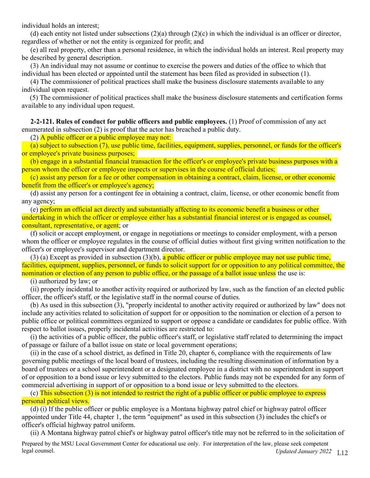individual holds an interest;

(d) each entity not listed under subsections  $(2)(a)$  through  $(2)(c)$  in which the individual is an officer or director, regardless of whether or not the entity is organized for profit; and

(e) all real property, other than a personal residence, in which the individual holds an interest. Real property may be described by general description.

(3) An individual may not assume or continue to exercise the powers and duties of the office to which that individual has been elected or appointed until the statement has been filed as provided in subsection (1).

(4) The commissioner of political practices shall make the business disclosure statements available to any individual upon request.

(5) The commissioner of political practices shall make the business disclosure statements and certification forms available to any individual upon request.

**2-2-121. Rules of conduct for public officers and public employees.** (1) Proof of commission of any act enumerated in subsection (2) is proof that the actor has breached a public duty.

(2) A public officer or a public employee may not:

(a) subject to subsection (7), use public time, facilities, equipment, supplies, personnel, or funds for the officer's or employee's private business purposes;

(b) engage in a substantial financial transaction for the officer's or employee's private business purposes with a person whom the officer or employee inspects or supervises in the course of official duties;

(c) assist any person for a fee or other compensation in obtaining a contract, claim, license, or other economic benefit from the officer's or employee's agency;

(d) assist any person for a contingent fee in obtaining a contract, claim, license, or other economic benefit from any agency;

(e) perform an official act directly and substantially affecting to its economic benefit a business or other undertaking in which the officer or employee either has a substantial financial interest or is engaged as counsel, consultant, representative, or agent; or

(f) solicit or accept employment, or engage in negotiations or meetings to consider employment, with a person whom the officer or employee regulates in the course of official duties without first giving written notification to the officer's or employee's supervisor and department director.

(3) (a) Except as provided in subsection (3)(b), a public officer or public employee may not use public time, facilities, equipment, supplies, personnel, or funds to solicit support for or opposition to any political committee, the nomination or election of any person to public office, or the passage of a ballot issue unless the use is:

(i) authorized by law; or

(ii) properly incidental to another activity required or authorized by law, such as the function of an elected public officer, the officer's staff, or the legislative staff in the normal course of duties.

(b) As used in this subsection (3), "properly incidental to another activity required or authorized by law" does not include any activities related to solicitation of support for or opposition to the nomination or election of a person to public office or political committees organized to support or oppose a candidate or candidates for public office. With respect to ballot issues, properly incidental activities are restricted to:

(i) the activities of a public officer, the public officer's staff, or legislative staff related to determining the impact of passage or failure of a ballot issue on state or local government operations;

(ii) in the case of a school district, as defined in Title 20, chapter 6, compliance with the requirements of law governing public meetings of the local board of trustees, including the resulting dissemination of information by a board of trustees or a school superintendent or a designated employee in a district with no superintendent in support of or opposition to a bond issue or levy submitted to the electors. Public funds may not be expended for any form of commercial advertising in support of or opposition to a bond issue or levy submitted to the electors.

(c) This subsection (3) is not intended to restrict the right of a public officer or public employee to express personal political views.

(d) (i) If the public officer or public employee is a Montana highway patrol chief or highway patrol officer appointed under Title 44, chapter 1, the term "equipment" as used in this subsection (3) includes the chief's or officer's official highway patrol uniform.

(ii) A Montana highway patrol chief's or highway patrol officer's title may not be referred to in the solicitation of

legal counsel. **In the Updated January 2022** L12 Prepared by the MSU Local Government Center for educational use only. For interpretation of the law, please seek competent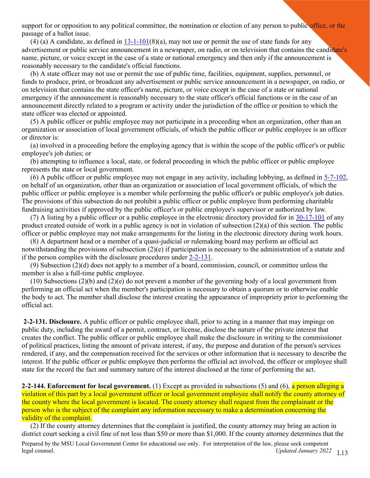support for or opposition to any political committee, the nomination or election of any person to public office, or the passage of a ballot issue.

(4) (a) A candidate, as defined in  $13-1-101(8)$ (a), may not use or permit the use of state funds for any advertisement or public service announcement in a newspaper, on radio, or on television that contains the candidate's name, picture, or voice except in the case of a state or national emergency and then only if the announcement is reasonably necessary to the candidate's official functions.

(b) A state officer may not use or permit the use of public time, facilities, equipment, supplies, personnel, or funds to produce, print, or broadcast any advertisement or public service announcement in a newspaper, on radio, or on television that contains the state officer's name, picture, or voice except in the case of a state or national emergency if the announcement is reasonably necessary to the state officer's official functions or in the case of an announcement directly related to a program or activity under the jurisdiction of the office or position to which the state officer was elected or appointed.

(5) A public officer or public employee may not participate in a proceeding when an organization, other than an organization or association of local government officials, of which the public officer or public employee is an officer or director is:

(a) involved in a proceeding before the employing agency that is within the scope of the public officer's or public employee's job duties; or

(b) attempting to influence a local, state, or federal proceeding in which the public officer or public employee represents the state or local government.

(6) A public officer or public employee may not engage in any activity, including lobbying, as defined in 5-7-102, on behalf of an organization, other than an organization or association of local government officials, of which the public officer or public employee is a member while performing the public officer's or public employee's job duties. The provisions of this subsection do not prohibit a public officer or public employee from performing charitable fundraising activities if approved by the public officer's or public employee's supervisor or authorized by law.

(7) A listing by a public officer or a public employee in the electronic directory provided for in 30-17-101 of any product created outside of work in a public agency is not in violation of subsection (2)(a) of this section. The public officer or public employee may not make arrangements for the listing in the electronic directory during work hours.

(8) A department head or a member of a quasi-judicial or rulemaking board may perform an official act notwithstanding the provisions of subsection (2)(e) if participation is necessary to the administration of a statute and if the person complies with the disclosure procedures under 2-2-131.

(9) Subsection (2)(d) does not apply to a member of a board, commission, council, or committee unless the member is also a full-time public employee.

(10) Subsections (2)(b) and (2)(e) do not prevent a member of the governing body of a local government from performing an official act when the member's participation is necessary to obtain a quorum or to otherwise enable the body to act. The member shall disclose the interest creating the appearance of impropriety prior to performing the official act.

**2-2-131. Disclosure.** A public officer or public employee shall, prior to acting in a manner that may impinge on public duty, including the award of a permit, contract, or license, disclose the nature of the private interest that creates the conflict. The public officer or public employee shall make the disclosure in writing to the commissioner of political practices, listing the amount of private interest, if any, the purpose and duration of the person's services rendered, if any, and the compensation received for the services or other information that is necessary to describe the interest. If the public officer or public employee then performs the official act involved, the officer or employee shall state for the record the fact and summary nature of the interest disclosed at the time of performing the act.

**2-2-144. Enforcement for local government.** (1) Except as provided in subsections (5) and (6), a person alleging a violation of this part by a local government officer or local government employee shall notify the county attorney of the county where the local government is located. The county attorney shall request from the complainant or the person who is the subject of the complaint any information necessary to make a determination concerning the validity of the complaint.

(2) If the county attorney determines that the complaint is justified, the county attorney may bring an action in district court seeking a civil fine of not less than \$50 or more than \$1,000. If the county attorney determines that the

legal counsel. **In the Updated January 2022** L<sub>13</sub> and *Updated January 2022* L<sub>13</sub> Prepared by the MSU Local Government Center for educational use only. For interpretation of the law, please seek competent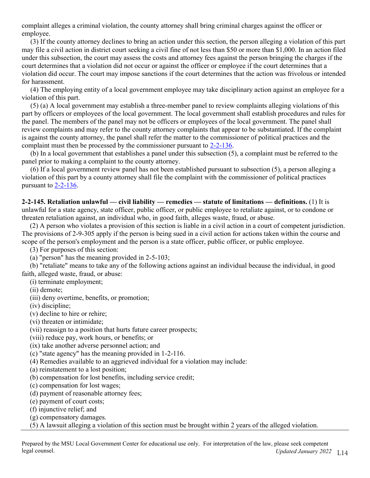complaint alleges a criminal violation, the county attorney shall bring criminal charges against the officer or employee.

(3) If the county attorney declines to bring an action under this section, the person alleging a violation of this part may file a civil action in district court seeking a civil fine of not less than \$50 or more than \$1,000. In an action filed under this subsection, the court may assess the costs and attorney fees against the person bringing the charges if the court determines that a violation did not occur or against the officer or employee if the court determines that a violation did occur. The court may impose sanctions if the court determines that the action was frivolous or intended for harassment.

(4) The employing entity of a local government employee may take disciplinary action against an employee for a violation of this part.

(5) (a) A local government may establish a three-member panel to review complaints alleging violations of this part by officers or employees of the local government. The local government shall establish procedures and rules for the panel. The members of the panel may not be officers or employees of the local government. The panel shall review complaints and may refer to the county attorney complaints that appear to be substantiated. If the complaint is against the county attorney, the panel shall refer the matter to the commissioner of political practices and the complaint must then be processed by the commissioner pursuant to 2-2-136.

(b) In a local government that establishes a panel under this subsection (5), a complaint must be referred to the panel prior to making a complaint to the county attorney.

(6) If a local government review panel has not been established pursuant to subsection (5), a person alleging a violation of this part by a county attorney shall file the complaint with the commissioner of political practices pursuant to 2-2-136.

**2-2-145. Retaliation unlawful — civil liability — remedies — statute of limitations — definitions.** (1) It is unlawful for a state agency, state officer, public officer, or public employee to retaliate against, or to condone or threaten retaliation against, an individual who, in good faith, alleges waste, fraud, or abuse.

(2) A person who violates a provision of this section is liable in a civil action in a court of competent jurisdiction. The provisions of 2-9-305 apply if the person is being sued in a civil action for actions taken within the course and scope of the person's employment and the person is a state officer, public officer, or public employee.

(3) For purposes of this section:

(a) "person" has the meaning provided in 2-5-103;

(b) "retaliate" means to take any of the following actions against an individual because the individual, in good faith, alleged waste, fraud, or abuse:

(i) terminate employment;

(ii) demote;

(iii) deny overtime, benefits, or promotion;

(iv) discipline;

(v) decline to hire or rehire;

(vi) threaten or intimidate;

(vii) reassign to a position that hurts future career prospects;

(viii) reduce pay, work hours, or benefits; or

(ix) take another adverse personnel action; and

(c) "state agency" has the meaning provided in 1-2-116.

(4) Remedies available to an aggrieved individual for a violation may include:

(a) reinstatement to a lost position;

(b) compensation for lost benefits, including service credit;

(c) compensation for lost wages;

(d) payment of reasonable attorney fees;

(e) payment of court costs;

(f) injunctive relief; and

(g) compensatory damages.

(5) A lawsuit alleging a violation of this section must be brought within 2 years of the alleged violation.

legal counsel. **In the Updated January 2022** L<sub>14</sub> Updated *Updated January 2022* L<sub>14</sub> Prepared by the MSU Local Government Center for educational use only. For interpretation of the law, please seek competent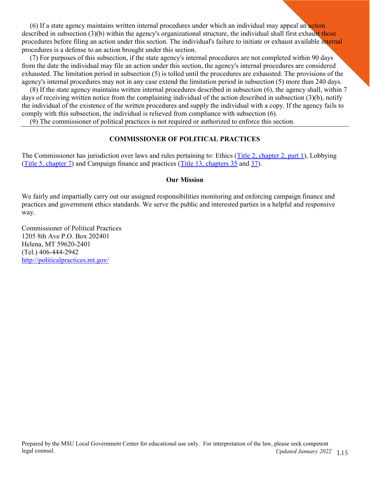(6) If a state agency maintains written internal procedures under which an individual may appeal an action described in subsection  $(3)(b)$  within the agency's organizational structure, the individual shall first exhaust those procedures before filing an action under this section. The individual's failure to initiate or exhaust available internal procedures is a defense to an action brought under this section.

(7) For purposes of this subsection, if the state agency's internal procedures are not completed within 90 days from the date the individual may file an action under this section, the agency's internal procedures are considered exhausted. The limitation period in subsection (5) is tolled until the procedures are exhausted. The provisions of the agency's internal procedures may not in any case extend the limitation period in subsection (5) more than 240 days.

(8) If the state agency maintains written internal procedures described in subsection (6), the agency shall, within 7 days of receiving written notice from the complaining individual of the action described in subsection (3)(b), notify the individual of the existence of the written procedures and supply the individual with a copy. If the agency fails to comply with this subsection, the individual is relieved from compliance with subsection (6).

(9) The commissioner of political practices is not required or authorized to enforce this section.

# **COMMISSIONER OF POLITICAL PRACTICES**

The Commissioner has jurisdiction over laws and rules pertaining to: Ethics (Title 2, chapter 2, part 1), Lobbying (Title 5, chapter 7) and Campaign finance and practices (Title 13, chapters 35 and 37).

#### **Our Mission**

We fairly and impartially carry out our assigned responsibilities monitoring and enforcing campaign finance and practices and government ethics standards. We serve the public and interested parties in a helpful and responsive way.

Commissioner of Political Practices 1205 8th Ave P.O. Box 202401 Helena, MT 59620-2401 (Tel.) 406-444-2942 http://politicalpractices.mt.gov/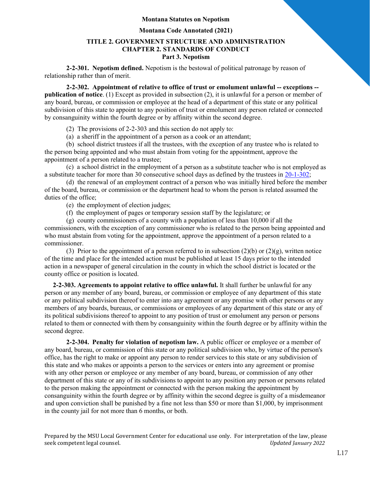#### **Montana Statutes on Nepotism**

#### **Montana Code Annotated (2021)**

#### **TITLE 2. GOVERNMENT STRUCTURE AND ADMINISTRATION CHAPTER 2. STANDARDS OF CONDUCT Part 3. Nepotism**

**2-2-301. Nepotism defined.** Nepotism is the bestowal of political patronage by reason of relationship rather than of merit.

**2-2-302. Appointment of relative to office of trust or emolument unlawful -- exceptions - publication of notice**. (1) Except as provided in subsection (2), it is unlawful for a person or member of any board, bureau, or commission or employee at the head of a department of this state or any political subdivision of this state to appoint to any position of trust or emolument any person related or connected by consanguinity within the fourth degree or by affinity within the second degree.

(2) The provisions of 2-2-303 and this section do not apply to:

(a) a sheriff in the appointment of a person as a cook or an attendant;

(b) school district trustees if all the trustees, with the exception of any trustee who is related to the person being appointed and who must abstain from voting for the appointment, approve the appointment of a person related to a trustee;

(c) a school district in the employment of a person as a substitute teacher who is not employed as a substitute teacher for more than 30 consecutive school days as defined by the trustees in 20-1-302;

(d) the renewal of an employment contract of a person who was initially hired before the member of the board, bureau, or commission or the department head to whom the person is related assumed the duties of the office;

(e) the employment of election judges;

(f) the employment of pages or temporary session staff by the legislature; or

(g) county commissioners of a county with a population of less than 10,000 if all the commissioners, with the exception of any commissioner who is related to the person being appointed and who must abstain from voting for the appointment, approve the appointment of a person related to a commissioner.

(3) Prior to the appointment of a person referred to in subsection (2)(b) or (2)(g), written notice of the time and place for the intended action must be published at least 15 days prior to the intended action in a newspaper of general circulation in the county in which the school district is located or the county office or position is located.

**2-2-303. Agreements to appoint relative to office unlawful.** It shall further be unlawful for any person or any member of any board, bureau, or commission or employee of any department of this state or any political subdivision thereof to enter into any agreement or any promise with other persons or any members of any boards, bureaus, or commissions or employees of any department of this state or any of its political subdivisions thereof to appoint to any position of trust or emolument any person or persons related to them or connected with them by consanguinity within the fourth degree or by affinity within the second degree.

**2-2-304. Penalty for violation of nepotism law.** A public officer or employee or a member of any board, bureau, or commission of this state or any political subdivision who, by virtue of the person's office, has the right to make or appoint any person to render services to this state or any subdivision of this state and who makes or appoints a person to the services or enters into any agreement or promise with any other person or employee or any member of any board, bureau, or commission of any other department of this state or any of its subdivisions to appoint to any position any person or persons related to the person making the appointment or connected with the person making the appointment by consanguinity within the fourth degree or by affinity within the second degree is guilty of a misdemeanor and upon conviction shall be punished by a fine not less than \$50 or more than \$1,000, by imprisonment in the county jail for not more than 6 months, or both.

Prepared by the MSU Local Government Center for educational use only. For interpretation of the law, please<br>seek competent legal counsel. *Indeed January 2022* seek competent legal counsel.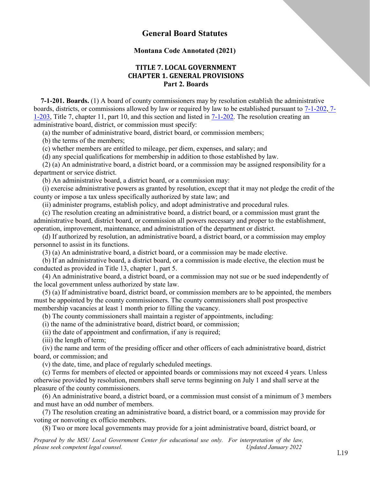# **General Board Statutes**

#### **Montana Code Annotated (2021)**

## **TITLE 7. LOCAL GOVERNMENT CHAPTER 1. GENERAL PROVISIONS Part 2. Boards**

**7-1-201. Boards.** (1) A board of county commissioners may by resolution establish the administrative boards, districts, or commissions allowed by law or required by law to be established pursuant to 7-1-202, 7- 1-203, Title 7, chapter 11, part 10, and this section and listed in 7-1-202. The resolution creating an administrative board, district, or commission must specify:

(a) the number of administrative board, district board, or commission members;

(b) the terms of the members;

(c) whether members are entitled to mileage, per diem, expenses, and salary; and

(d) any special qualifications for membership in addition to those established by law.

(2) (a) An administrative board, a district board, or a commission may be assigned responsibility for a department or service district.

(b) An administrative board, a district board, or a commission may:

(i) exercise administrative powers as granted by resolution, except that it may not pledge the credit of the county or impose a tax unless specifically authorized by state law; and

(ii) administer programs, establish policy, and adopt administrative and procedural rules.

(c) The resolution creating an administrative board, a district board, or a commission must grant the administrative board, district board, or commission all powers necessary and proper to the establishment, operation, improvement, maintenance, and administration of the department or district.

(d) If authorized by resolution, an administrative board, a district board, or a commission may employ personnel to assist in its functions.

(3) (a) An administrative board, a district board, or a commission may be made elective.

(b) If an administrative board, a district board, or a commission is made elective, the election must be conducted as provided in Title 13, chapter 1, part 5.

(4) An administrative board, a district board, or a commission may not sue or be sued independently of the local government unless authorized by state law.

(5) (a) If administrative board, district board, or commission members are to be appointed, the members must be appointed by the county commissioners. The county commissioners shall post prospective membership vacancies at least 1 month prior to filling the vacancy.

(b) The county commissioners shall maintain a register of appointments, including:

(i) the name of the administrative board, district board, or commission;

(ii) the date of appointment and confirmation, if any is required;

(iii) the length of term;

(iv) the name and term of the presiding officer and other officers of each administrative board, district board, or commission; and

(v) the date, time, and place of regularly scheduled meetings.

(c) Terms for members of elected or appointed boards or commissions may not exceed 4 years. Unless otherwise provided by resolution, members shall serve terms beginning on July 1 and shall serve at the pleasure of the county commissioners.

(6) An administrative board, a district board, or a commission must consist of a minimum of 3 members and must have an odd number of members.

(7) The resolution creating an administrative board, a district board, or a commission may provide for voting or nonvoting ex officio members.

(8) Two or more local governments may provide for a joint administrative board, district board, or

*Prepared by the MSU Local Government Center for educational use only. For interpretation of the law, please seek competent legal counsel. Updated January 2022*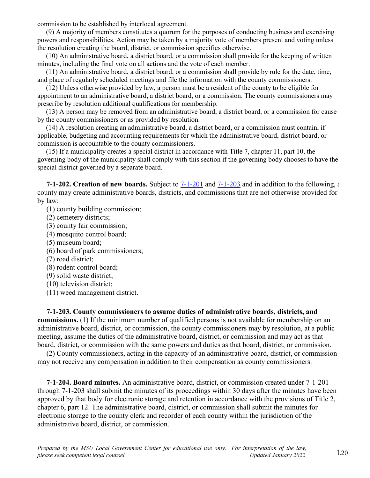commission to be established by interlocal agreement.

(9) A majority of members constitutes a quorum for the purposes of conducting business and exercising powers and responsibilities. Action may be taken by a majority vote of members present and voting unless the resolution creating the board, district, or commission specifies otherwise.

(10) An administrative board, a district board, or a commission shall provide for the keeping of written minutes, including the final vote on all actions and the vote of each member.

(11) An administrative board, a district board, or a commission shall provide by rule for the date, time, and place of regularly scheduled meetings and file the information with the county commissioners.

(12) Unless otherwise provided by law, a person must be a resident of the county to be eligible for appointment to an administrative board, a district board, or a commission. The county commissioners may prescribe by resolution additional qualifications for membership.

(13) A person may be removed from an administrative board, a district board, or a commission for cause by the county commissioners or as provided by resolution.

(14) A resolution creating an administrative board, a district board, or a commission must contain, if applicable, budgeting and accounting requirements for which the administrative board, district board, or commission is accountable to the county commissioners.

(15) If a municipality creates a special district in accordance with Title 7, chapter 11, part 10, the governing body of the municipality shall comply with this section if the governing body chooses to have the special district governed by a separate board.

**7-1-202. Creation of new boards.** Subject to 7-1-201 and 7-1-203 and in addition to the following, a county may create administrative boards, districts, and commissions that are not otherwise provided for by law:

(1) county building commission;

- (2) cemetery districts;
- (3) county fair commission;
- (4) mosquito control board;
- (5) museum board;
- (6) board of park commissioners;
- (7) road district;
- (8) rodent control board;
- (9) solid waste district;
- (10) television district;
- (11) weed management district.

**7-1-203. County commissioners to assume duties of administrative boards, districts, and commissions.** (1) If the minimum number of qualified persons is not available for membership on an administrative board, district, or commission, the county commissioners may by resolution, at a public meeting, assume the duties of the administrative board, district, or commission and may act as that board, district, or commission with the same powers and duties as that board, district, or commission.

(2) County commissioners, acting in the capacity of an administrative board, district, or commission may not receive any compensation in addition to their compensation as county commissioners.

**7-1-204. Board minutes.** An administrative board, district, or commission created under 7-1-201 through 7-1-203 shall submit the minutes of its proceedings within 30 days after the minutes have been approved by that body for electronic storage and retention in accordance with the provisions of Title 2, chapter 6, part 12. The administrative board, district, or commission shall submit the minutes for electronic storage to the county clerk and recorder of each county within the jurisdiction of the administrative board, district, or commission.